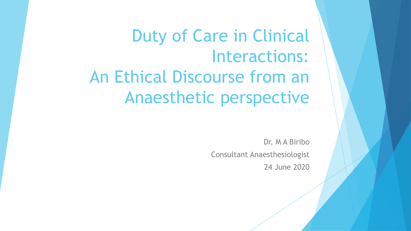Duty of Care in Clinical Interactions: An Ethical Discourse from an Anaesthetic perspective

> Dr. M A Biribo Consultant Anaesthesiologist 24 June 2020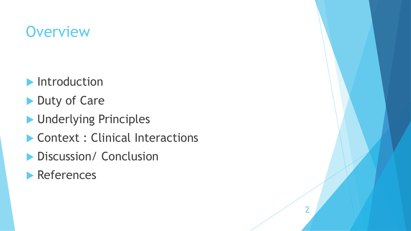# **Overview**

- **Introduction**
- Duty of Care
- **Inderlying Principles**
- Context : Clinical Interactions

2

- **Discussion/ Conclusion**
- **References**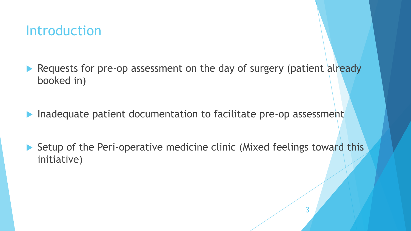## **Introduction**

- Requests for pre-op assessment on the day of surgery (patient already booked in)
- Inadequate patient documentation to facilitate pre-op assessment
- ▶ Setup of the Peri-operative medicine clinic (Mixed feelings toward this initiative)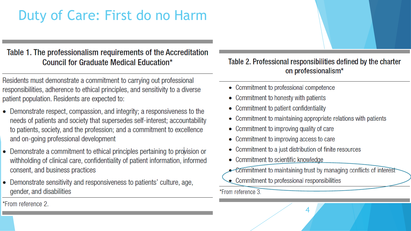## Duty of Care: First do no Harm

#### Table 1. The professionalism requirements of the Accreditation **Council for Graduate Medical Education\***

Residents must demonstrate a commitment to carrying out professional responsibilities, adherence to ethical principles, and sensitivity to a diverse patient population. Residents are expected to:

- Demonstrate respect, compassion, and integrity; a responsiveness to the needs of patients and society that supersedes self-interest; accountability to patients, society, and the profession; and a commitment to excellence and on-going professional development
- Demonstrate a commitment to ethical principles pertaining to provision or withholding of clinical care, confidentiality of patient information, informed consent, and business practices
- Demonstrate sensitivity and responsiveness to patients' culture, age, gender, and disabilities

Table 2. Professional responsibilities defined by the charter on professionalism\*

- Commitment to professional competence
- Commitment to honesty with patients
- Commitment to patient confidentiality
- Commitment to maintaining appropriate relations with patients
- Commitment to improving quality of care
- Commitment to improving access to care
- Commitment to a just distribution of finite resources
- Commitment to scientific knowledge
- Commitment to maintaining trust by managing conflicts of interest

4

Commitment to professional responsibilities

\*From reference 3.

\*From reference 2.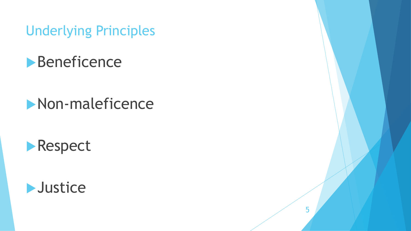Underlying Principles



# **Non-maleficence**





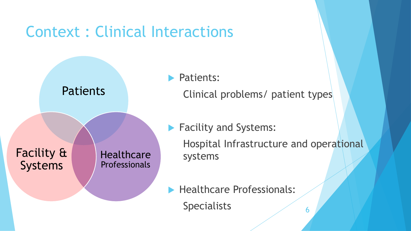# Context : Clinical Interactions



- **Patients:** Clinical problems/ patient types
- **Facility and Systems:**

Hospital Infrastructure and operational systems

Healthcare Professionals:

Specialists 6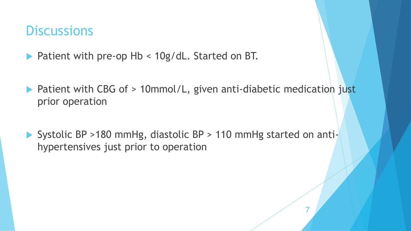### **Discussions**

- ▶ Patient with pre-op Hb < 10g/dL. Started on BT.
- ▶ Patient with CBG of > 10mmol/L, given anti-diabetic medication just prior operation
- ▶ Systolic BP >180 mmHg, diastolic BP > 110 mmHg started on antihypertensives just prior to operation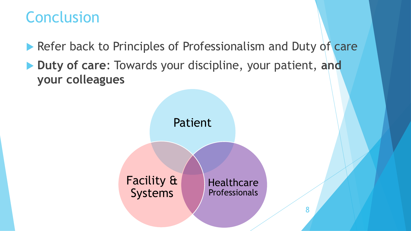# Conclusion

- Refer back to Principles of Professionalism and Duty of care
- **Duty of care**: Towards your discipline, your patient, **and your colleagues**